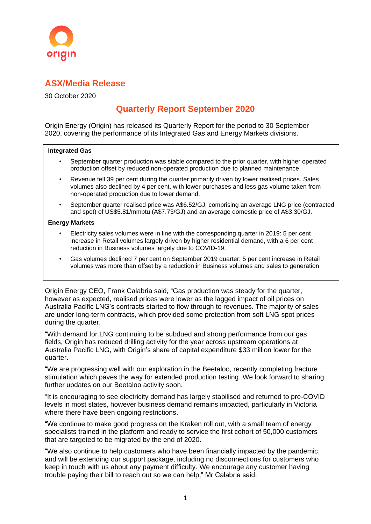

## **ASX/Media Release**

30 October 2020

## **Quarterly Report September 2020**

Origin Energy (Origin) has released its Quarterly Report for the period to 30 September 2020, covering the performance of its Integrated Gas and Energy Markets divisions.

#### **Integrated Gas**

- September quarter production was stable compared to the prior quarter, with higher operated production offset by reduced non-operated production due to planned maintenance.
- Revenue fell 39 per cent during the quarter primarily driven by lower realised prices. Sales volumes also declined by 4 per cent, with lower purchases and less gas volume taken from non-operated production due to lower demand.
- September quarter realised price was A\$6.52/GJ, comprising an average LNG price (contracted and spot) of US\$5.81/mmbtu (A\$7.73/GJ) and an average domestic price of A\$3.30/GJ.

### **Energy Markets**

- Electricity sales volumes were in line with the corresponding quarter in 2019: 5 per cent increase in Retail volumes largely driven by higher residential demand, with a 6 per cent reduction in Business volumes largely due to COVID-19.
- Gas volumes declined 7 per cent on September 2019 quarter: 5 per cent increase in Retail volumes was more than offset by a reduction in Business volumes and sales to generation.

Origin Energy CEO, Frank Calabria said, "Gas production was steady for the quarter, however as expected, realised prices were lower as the lagged impact of oil prices on Australia Pacific LNG's contracts started to flow through to revenues. The majority of sales are under long-term contracts, which provided some protection from soft LNG spot prices during the quarter.

"With demand for LNG continuing to be subdued and strong performance from our gas fields, Origin has reduced drilling activity for the year across upstream operations at Australia Pacific LNG, with Origin's share of capital expenditure \$33 million lower for the quarter.

"We are progressing well with our exploration in the Beetaloo, recently completing fracture stimulation which paves the way for extended production testing. We look forward to sharing further updates on our Beetaloo activity soon.

"It is encouraging to see electricity demand has largely stabilised and returned to pre-COVID levels in most states, however business demand remains impacted, particularly in Victoria where there have been ongoing restrictions.

"We continue to make good progress on the Kraken roll out, with a small team of energy specialists trained in the platform and ready to service the first cohort of 50,000 customers that are targeted to be migrated by the end of 2020.

"We also continue to help customers who have been financially impacted by the pandemic, and will be extending our support package, including no disconnections for customers who keep in touch with us about any payment difficulty. We encourage any customer having trouble paying their bill to reach out so we can help," Mr Calabria said.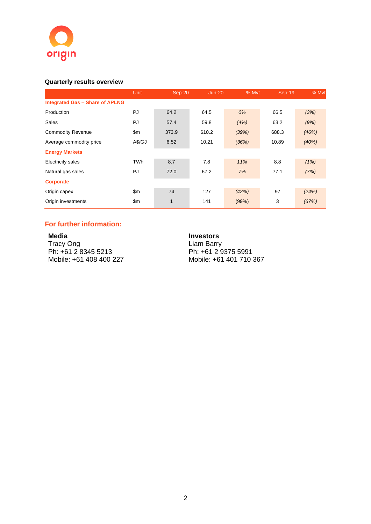

### **Quarterly results overview**

|                                        | Unit       | Sep-20 | $Jun-20$ |       | % Myt<br>Sep-19 | % Mvt |
|----------------------------------------|------------|--------|----------|-------|-----------------|-------|
| <b>Integrated Gas - Share of APLNG</b> |            |        |          |       |                 |       |
| Production                             | PJ         | 64.2   | 64.5     | 0%    | 66.5            | (3%)  |
| Sales                                  | PJ         | 57.4   | 59.8     | (4%)  | 63.2            | (9%)  |
| <b>Commodity Revenue</b>               | \$m        | 373.9  | 610.2    | (39%) | 688.3           | (46%) |
| Average commodity price                | A\$/GJ     | 6.52   | 10.21    | (36%) | 10.89           | (40%) |
| <b>Energy Markets</b>                  |            |        |          |       |                 |       |
| <b>Electricity sales</b>               | <b>TWh</b> | 8.7    | 7.8      | 11%   | 8.8             | (1%)  |
| Natural gas sales                      | PJ         | 72.0   | 67.2     | 7%    | 77.1            | (7%)  |
| Corporate                              |            |        |          |       |                 |       |
| Origin capex                           | \$m        | 74     | 127      | (42%) | 97              | (24%) |
| Origin investments                     | \$m\$      | 1      | 141      | (99%) | 3               | (67%) |

### **For further information:**

**Media**  Tracy Ong Ph: +61 2 8345 5213 Mobile: +61 408 400 227

#### **Investors**

Liam Barry Ph: +61 2 9375 5991 Mobile: +61 401 710 367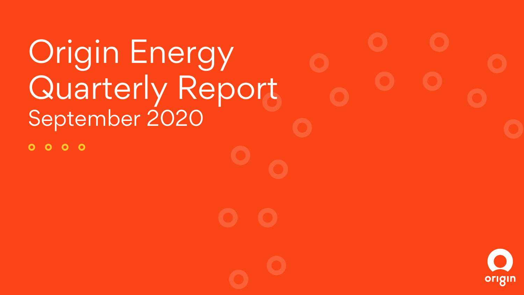Origin Energy Quarterly Report September 2020

 $0000$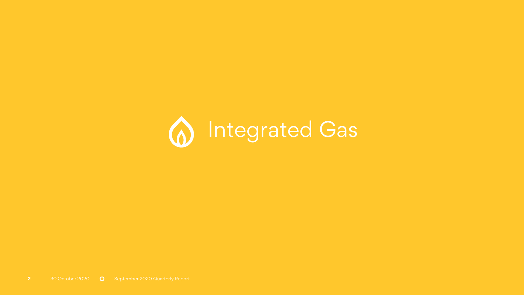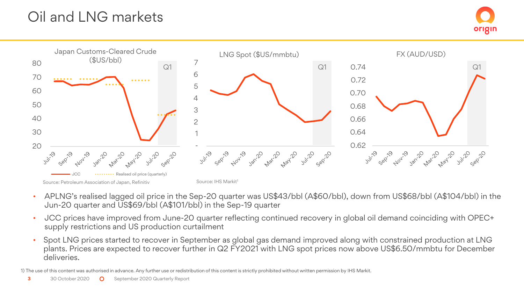# Oil and LNG markets



- APLNG's realised lagged oil price in the Sep-20 quarter was US\$43/bbl (A\$60/bbl), down from US\$68/bbl (A\$104/bbl) in the Jun-20 quarter and US\$69/bbl (A\$101/bbl) in the Sep-19 quarter
- JCC prices have improved from June-20 quarter reflecting continued recovery in global oil demand coinciding with OPEC+ supply restrictions and US production curtailment
- Spot LNG prices started to recover in September as global gas demand improved along with constrained production at LNG plants. Prices are expected to recover further in Q2 FY2021 with LNG spot prices now above US\$6.50/mmbtu for December deliveries.

1) The use of this content was authorised in advance. Any further use or redistribution of this content is strictly prohibited without written permission by IHS Markit.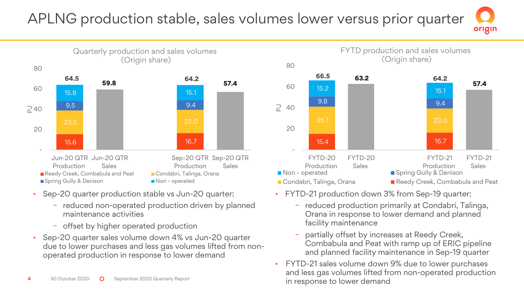### APLNG production stable, sales volumes lower versus prior quarter origin

80



- Sep-20 quarter production stable vs Jun-20 quarter:
	- − reduced non-operated production driven by planned maintenance activities
	- − offset by higher operated production
- Sep-20 quarter sales volume down 4% vs Jun-20 quarter due to lower purchases and less gas volumes lifted from nonoperated production in response to lower demand



**63.2** 

**66.5 64.2** 

FYTD production and sales volumes (Origin share)

- FYTD-21 production down 3% from Sep-19 quarter:
	- − reduced production primarily at Condabri, Talinga, Orana in response to lower demand and planned facility maintenance

**57.4** 

 FYTD-21 Sales

- partially offset by increases at Reedy Creek, Combabula and Peat with ramp up of ERIC pipeline and planned facility maintenance in Sep-19 quarter
- FYTD-21 sales volume down 9% due to lower purchases and less gas volumes lifted from non-operated production in response to lower demand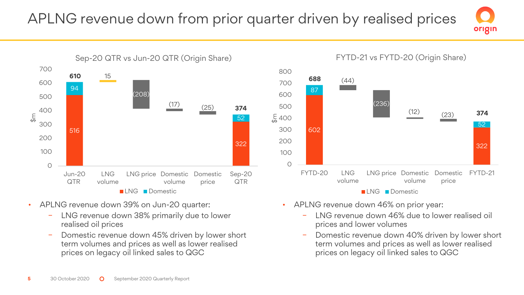# APLNG revenue down from prior quarter driven by realised prices



- APLNG revenue down 39% on Jun-20 quarter:
	- − LNG revenue down 38% primarily due to lower realised oil prices
	- Domestic revenue down 45% driven by lower short term volumes and prices as well as lower realised prices on legacy oil linked sales to QGC



origin

- APLNG revenue down 46% on prior year:
	- − LNG revenue down 46% due to lower realised oil prices and lower volumes
	- Domestic revenue down 40% driven by lower short term volumes and prices as well as lower realised prices on legacy oil linked sales to QGC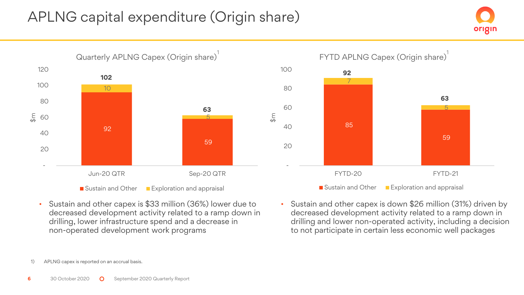# APLNG capital expenditure (Origin share)





• Sustain and other capex is \$33 million (36%) lower due to decreased development activity related to a ramp down in drilling, lower infrastructure spend and a decrease in non-operated development work programs



• Sustain and other capex is down \$26 million (31%) driven by decreased development activity related to a ramp down in drilling and lower non-operated activity, including a decision to not participate in certain less economic well packages

<sup>1)</sup> APLNG capex is reported on an accrual basis.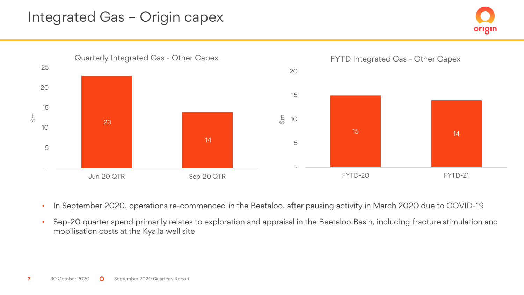## Integrated Gas – Origin capex





- In September 2020, operations re-commenced in the Beetaloo, after pausing activity in March 2020 due to COVID-19
- Sep-20 quarter spend primarily relates to exploration and appraisal in the Beetaloo Basin, including fracture stimulation and mobilisation costs at the Kyalla well site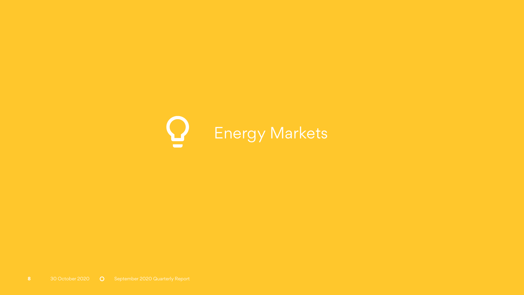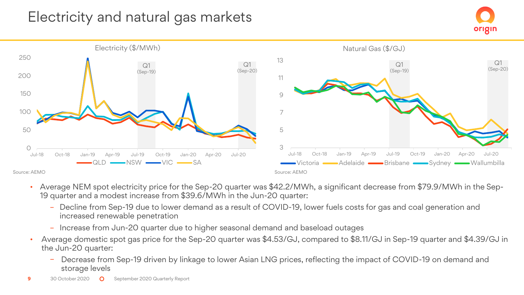# Electricity and natural gas markets





- Average NEM spot electricity price for the Sep-20 quarter was \$42.2/MWh, a significant decrease from \$79.9/MWh in the Sep-19 quarter and a modest increase from \$39.6/MWh in the Jun-20 quarter:
	- Decline from Sep-19 due to lower demand as a result of COVID-19, lower fuels costs for gas and coal generation and increased renewable penetration
	- Increase from Jun-20 quarter due to higher seasonal demand and baseload outages
- Average domestic spot gas price for the Sep-20 quarter was \$4.53/GJ, compared to \$8.11/GJ in Sep-19 quarter and \$4.39/GJ in the Jun-20 quarter:
	- Decrease from Sep-19 driven by linkage to lower Asian LNG prices, reflecting the impact of COVID-19 on demand and storage levels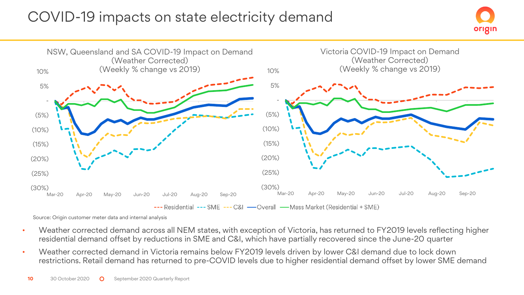## COVID-19 impacts on state electricity demand





Source: Origin customer meter data and internal analysis

- Weather corrected demand across all NEM states, with exception of Victoria, has returned to FY2019 levels reflecting higher residential demand offset by reductions in SME and C&I, which have partially recovered since the June-20 quarter
- Weather corrected demand in Victoria remains below FY2019 levels driven by lower C&I demand due to lock down restrictions. Retail demand has returned to pre-COVID levels due to higher residential demand offset by lower SME demand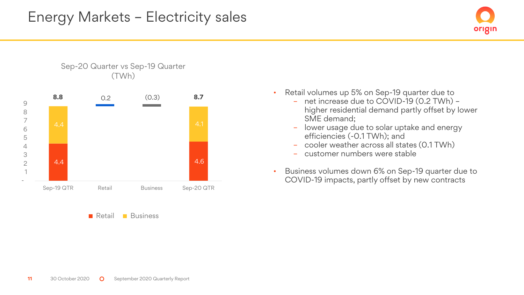



**Retail Business** 

- Retail volumes up 5% on Sep-19 quarter due to
	- net increase due to COVID-19 (0.2 TWh) higher residential demand partly offset by lower SME demand;
	- lower usage due to solar uptake and energy efficiencies (-0.1 TWh); and
	- cooler weather across all states (0.1 TWh)
	- customer numbers were stable
- Business volumes down 6% on Sep-19 quarter due to COVID-19 impacts, partly offset by new contracts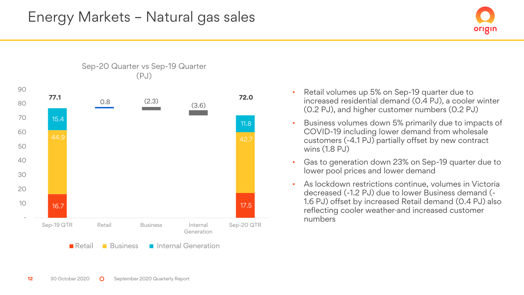



Sep-20 Quarter vs Sep-19 Quarter (PJ)

- Retail volumes up 5% on Sep-19 quarter due to increased residential demand (0.4 PJ), a cooler winter (0.2 PJ), and higher customer numbers (0.2 PJ)
- Business volumes down 5% primarily due to impacts of COVID-19 including lower demand from wholesale customers (-4.1 PJ) partially offset by new contract wins (1.8 PJ)
- Gas to generation down 23% on Sep-19 quarter due to lower pool prices and lower demand
- As lockdown restrictions continue, volumes in Victoria decreased (-1.2 PJ) due to lower Business demand (- 1.6 PJ) offset by increased Retail demand (0.4 PJ) also reflecting cooler weather and increased customer numbers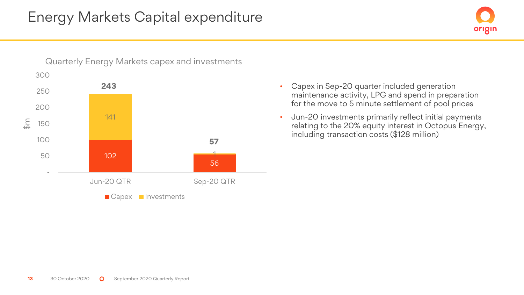

• Capex in Sep-20 quarter included generation maintenance activity, LPG and spend in preparation for the move to 5 minute settlement of pool prices

origin

• Jun-20 investments primarily reflect initial payments relating to the 20% equity interest in Octopus Energy, including transaction costs (\$128 million)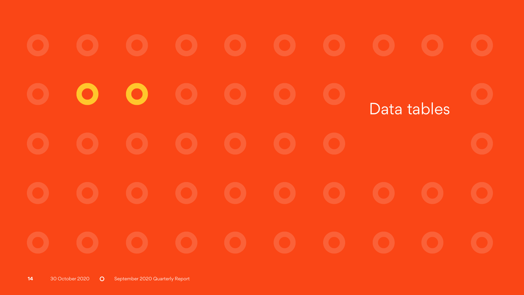$\bullet$  $\bullet$ Data tables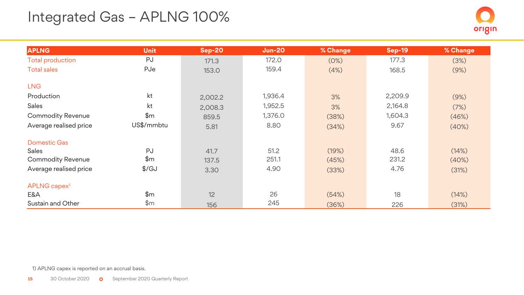# Integrated Gas – APLNG 100%

| <b>APLNG</b>             | <b>Unit</b>   | <b>Sep-20</b> | <b>Jun-20</b> | % Change | <b>Sep-19</b> | % Change |
|--------------------------|---------------|---------------|---------------|----------|---------------|----------|
| <b>Total production</b>  | PJ            | 171.3         | 172.0         | (0%)     | 177.3         | (3%)     |
| <b>Total sales</b>       | PJe           | 153.0         | 159.4         | (4%)     | 168.5         | (9%)     |
| <b>LNG</b>               |               |               |               |          |               |          |
| Production               | kt            | 2,002.2       | 1,936.4       | 3%       | 2,209.9       | (9%)     |
| Sales                    | kt            | 2,008.3       | 1,952.5       | 3%       | 2,164.8       | (7%)     |
| <b>Commodity Revenue</b> | \$m\$         | 859.5         | 1,376.0       | (38%)    | 1,604.3       | (46%)    |
| Average realised price   | US\$/mmbtu    | 5.81          | 8.80          | (34%)    | 9.67          | (40%)    |
| <b>Domestic Gas</b>      |               |               |               |          |               |          |
| <b>Sales</b>             | PJ            | 41.7          | 51.2          | (19%)    | 48.6          | (14%)    |
| <b>Commodity Revenue</b> | \$m\$         | 137.5         | 251.1         | (45%)    | 231.2         | (40%)    |
| Average realised price   | $\frac{f}{G}$ | 3.30          | 4.90          | (33%)    | 4.76          | (31%)    |
| APLNG capex <sup>1</sup> |               |               |               |          |               |          |
| E&A                      | \$m\$         | 12            | 26            | (54%)    | 18            | (14%)    |
| Sustain and Other        | \$m\$         | 156           | 245           | (36%)    | 226           | (31%)    |

1) APLNG capex is reported on an accrual basis.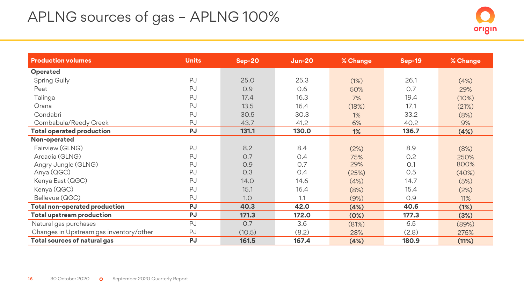# APLNG sources of gas – APLNG 100%



| <b>Production volumes</b>               | <b>Units</b> | $Sep-20$ | <b>Jun-20</b> | % Change | <b>Sep-19</b> | % Change |
|-----------------------------------------|--------------|----------|---------------|----------|---------------|----------|
| Operated                                |              |          |               |          |               |          |
| Spring Gully                            | PJ           | 25.0     | 25.3          | (1%)     | 26.1          | (4%)     |
| Peat                                    | PJ           | 0.9      | 0.6           | 50%      | 0.7           | 29%      |
| Talinga                                 | PJ           | 17.4     | 16.3          | 7%       | 19.4          | (10%)    |
| Orana                                   | PJ           | 13.5     | 16.4          | (18%)    | 17.1          | (21%)    |
| Condabri                                | PJ           | 30.5     | 30.3          | 1%       | 33.2          | (8%)     |
| Combabula/Reedy Creek                   | PJ           | 43.7     | 41.2          | 6%       | 40.2          | 9%       |
| <b>Total operated production</b>        | <b>PJ</b>    | 131.1    | 130.0         | 1%       | 136.7         | (4%)     |
| Non-operated                            |              |          |               |          |               |          |
| Fairview (GLNG)                         | PJ           | 8.2      | 8.4           | (2%)     | 8.9           | (8%)     |
| Arcadia (GLNG)                          | PJ           | 0.7      | 0.4           | 75%      | 0.2           | 250%     |
| Angry Jungle (GLNG)                     | PJ           | O.9      | 0.7           | 29%      | O.1           | 800%     |
| Anya (QGC)                              | PJ           | 0.3      | 0.4           | (25%)    | 0.5           | (40%)    |
| Kenya East (QGC)                        | PJ           | 14.0     | 14.6          | (4%)     | 14.7          | (5%)     |
| Kenya (QGC)                             | PJ           | 15.1     | 16.4          | (8%)     | 15.4          | (2%)     |
| Bellevue (QGC)                          | PJ           | 1.0      | 1.1           | (9%)     | 0.9           | 11%      |
| Total non-operated production           | PJ           | 40.3     | 42.0          | (4%)     | 40.6          | (1%)     |
| <b>Total upstream production</b>        | <b>PJ</b>    | 171.3    | 172.0         | (0%)     | 177.3         | (3%)     |
| Natural gas purchases                   | PJ           | 0.7      | 3.6           | (81%)    | 6.5           | (89%)    |
| Changes in Upstream gas inventory/other | PJ           | (10.5)   | (8.2)         | 28%      | (2.8)         | 275%     |
| <b>Total sources of natural gas</b>     | <b>PJ</b>    | 161.5    | 167.4         | (4%)     | 180.9         | (11%)    |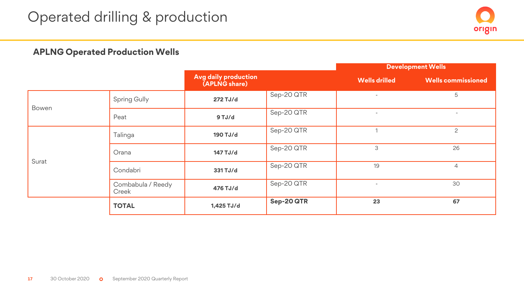

### **APLNG Operated Production Wells**

|       |                   |                                              |            |                          | <b>Development Wells</b>  |
|-------|-------------------|----------------------------------------------|------------|--------------------------|---------------------------|
|       |                   | <b>Avg daily production</b><br>(APLNG share) |            | <b>Wells drilled</b>     | <b>Wells commissioned</b> |
|       | Spring Gully      |                                              | Sep-20 QTR | $\overline{\phantom{a}}$ | 5                         |
| Bowen | Peat              | 9 TJ/d                                       | Sep-20 QTR | $\overline{\phantom{a}}$ |                           |
|       | Talinga           | 190 TJ/d                                     | Sep-20 QTR |                          | 2                         |
|       | Orana             | 147 TJ/d                                     | Sep-20 QTR | 3                        | 26                        |
| Surat | Condabri          | 331 TJ/d                                     | Sep-20 QTR | 19                       | $\overline{4}$            |
| Creek | Combabula / Reedy | 476 TJ/d                                     | Sep-20 QTR |                          | 30                        |
|       | <b>TOTAL</b>      | 1,425 TJ/d                                   | Sep-20 QTR | 23                       | 67                        |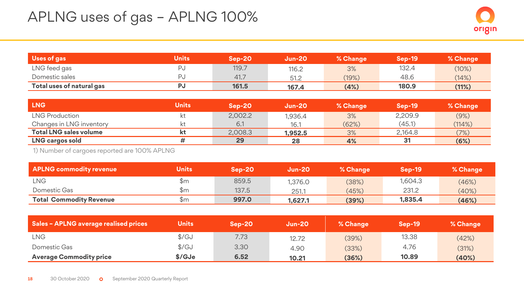| Uses of gas               | Units | $Sep-20$ | <b>Jun-20</b> | % Change | <b>Sep-19</b> | % Change |
|---------------------------|-------|----------|---------------|----------|---------------|----------|
| LNG feed gas              |       | 119.7    | 116.2         | 3%       | 132.4         | (10%)    |
| Domestic sales            |       | 41.7     | 51.2          | (19%)    | 48.6          | (14%)    |
| Total uses of natural gas |       | 161.5    | 167.4         | (4%)     | 180.9         | (11%)    |

| <b>LNG</b>                    | <b>Units</b> | Sep-20  | <b>Jun-20</b> | % Change | <b>Sep-19</b> | % Change |
|-------------------------------|--------------|---------|---------------|----------|---------------|----------|
| LNG Production                |              | 2,002.2 | 1.936.4       | 3%       | 2,209.9       | (9%)     |
| Changes in LNG inventory      | kt           | 6.1     | 16.1          | (62%)    | (45.1)        | (114%)   |
| <b>Total LNG sales volume</b> | kt           | 2.008.3 | 1.952.5       | 3%       | 2.164.8       | (7%)     |
| LNG cargos sold               |              | 29      | 28            | 4%       | 31            | (6%)     |

1) Number of cargoes reported are 100% APLNG

| <b>APLNG commodity revenue</b> | Units | $Sen-20$ | <b>Jun-20</b> | % Change | Sep-19  | % Change |
|--------------------------------|-------|----------|---------------|----------|---------|----------|
| LNG                            | \$m   | 859.5    | 1,376.0       | (38%)    | 1.604.3 | (46%)    |
| Domestic Gas                   | \$m   | 137.5    | 251.1         | (45%)    | 231.2   | (40%)    |
| <b>Total Commodity Revenue</b> | \$m   | 997.0    | 1.627.1       | (39%)    | 1.835.4 | (46%)    |

| <b>Sales - APLNG average realised prices</b> | <b>Units</b>  | $Sen-20$ | <b>Jun-20</b> | % Change | <b>Sep-19</b> | % Change |
|----------------------------------------------|---------------|----------|---------------|----------|---------------|----------|
| LNG                                          | $\frac{f}{g}$ | 7.73     | 12.72         | (39%)    | 13.38         | (42%)    |
| Domestic Gas                                 | $\frac{f}{G}$ | 3.30     | 4.90          | (33%)    | 4.76          | (31%)    |
| <b>Average Commodity price</b>               | \$/GJe        | 6.52     | 10.21         | (36%)    | 10.89         | (40%)    |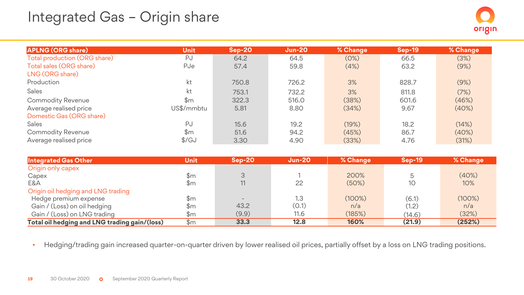## Integrated Gas – Origin share

| <b>APLNG (ORG share)</b>     | <b>Unit</b>    | Sep-20' | $Jun-20$ | % Change | $Sep-19$ | % Change |
|------------------------------|----------------|---------|----------|----------|----------|----------|
| Total production (ORG share) | PJ             | 64.2    | 64.5     | (0%)     | 66.5     | (3%)     |
| Total sales (ORG share)      | PJe            | 57.4    | 59.8     | (4%)     | 63.2     | (9%)     |
| LNG (ORG share)              |                |         |          |          |          |          |
| Production                   | kt             | 750.8   | 726.2    | 3%       | 828.7    | (9%)     |
| Sales                        | kt             | 753.1   | 732.2    | 3%       | 811.8    | (7%)     |
| Commodity Revenue            | $\mathbb{S}$ m | 322.3   | 516.0    | (38%)    | 601.6    | (46%)    |
| Average realised price       | US\$/mmbtu     | 5.81    | 8.80     | (34%)    | 9.67     | (40%)    |
| Domestic Gas (ORG share)     |                |         |          |          |          |          |
| Sales                        | PJ             | 15.6    | 19.2     | (19%)    | 18.2     | (14%)    |
| Commodity Revenue            | $\mathbb{S}$ m | 51.6    | 94.2     | (45%)    | 86.7     | (40%)    |
| Average realised price       | $\frac{f}{G}$  | 3.30    | 4.90     | (33%)    | 4.76     | (31%)    |

| Integrated Gas Other                          | <b>Unit</b>    | $Sen-20$ | <b>Jun-20</b> | % Change  | Sep-19 | % Change |
|-----------------------------------------------|----------------|----------|---------------|-----------|--------|----------|
| Origin only capex                             |                |          |               |           |        |          |
| Capex                                         | \$m            | 3        |               | 200%      |        | (40%)    |
| E&A                                           | \$m            | 11       | 22            | (50%)     | 10     | 10%      |
| Origin oil hedging and LNG trading            |                |          |               |           |        |          |
| Hedge premium expense                         | $\mathbb{S}$ m |          | 1.3           | $(100\%)$ | (6.1)  | (100%)   |
| Gain / (Loss) on oil hedging                  | \$m            | 43.2     | (0.1)         | n/a       | (1.2)  | n/a      |
| Gain / (Loss) on LNG trading                  | \$m            | (9.9)    | 11.6          | (185%)    | (14.6) | (32%)    |
| Total oil hedging and LNG trading gain/(loss) | \$m            | 33.3     | 12.8          | 160%      | (21.9) | (252%)   |

• Hedging/trading gain increased quarter-on-quarter driven by lower realised oil prices, partially offset by a loss on LNG trading positions.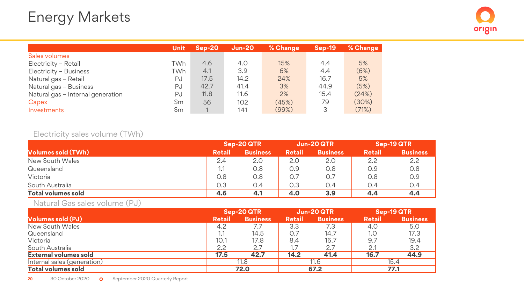|                                   | Unit | $Sen-20$ | <b>Jun-20</b> | % Change | <b>Sep-19</b> | % Change |
|-----------------------------------|------|----------|---------------|----------|---------------|----------|
| Sales volumes                     |      |          |               |          |               |          |
| Electricity - Retail              | TWh  | 4.6      | 4.0           | 15%      | 4.4           | 5%       |
| Electricity - Business            | TWh  | 4.1      | 3.9           | 6%       | 4.4           | (6%)     |
| Natural gas - Retail              | PJ   | 17.5     | 14.2          | 24%      | 16.7          | 5%       |
| Natural gas - Business            | PJ   | 42.7     | 41.4          | 3%       | 44.9          | (5%)     |
| Natural gas - Internal generation | PJ   | 11.8     | 11.6          | 2%       | 15.4          | (24%)    |
| Capex                             | \$m  | 56       | 102           | (45%)    | 79            | (30%)    |
| Investments                       | \$m  |          | 141           | (99%)    | 3             | (71%)    |

### Electricity sales volume (TWh)

|                           | Sep-20 QTR    |                 |               | Jun-20 QTR      |               | Sep-19 QTR      |
|---------------------------|---------------|-----------------|---------------|-----------------|---------------|-----------------|
| <b>Volumes sold (TWh)</b> | <b>Retail</b> | <b>Business</b> | <b>Retail</b> | <b>Business</b> | <b>Retail</b> | <b>Business</b> |
| New South Wales           | 2.4           | 2.0             | 2.0           | 2.0             | 2.2           | 2.2             |
| Queensland                | 1.1           | O.8             | 0.9           | 0.8             | 0.9           | 0.8             |
| Victoria                  | 0.8           | O.8             | 0.7           | 0.7             | 0.8           | O.9             |
| South Australia           | 0.3           | 0.4             | 0.3           | 0.4             | 0.4           | 0.4             |
| <b>Total volumes sold</b> | 4.6           | 4.1             | 4.0           | 3.9             | 4.4           | 4.4             |

Natural Gas sales volume (PJ)

|                             | Sep-20QTR     |                 | Jun-20 QTR    |                 | Sep-19 QTR    |                 |
|-----------------------------|---------------|-----------------|---------------|-----------------|---------------|-----------------|
| <b>Volumes sold (PJ)</b>    | <b>Retail</b> | <b>Business</b> | <b>Retail</b> | <b>Business</b> | <b>Retail</b> | <b>Business</b> |
| New South Wales             | 4.2           | 7.7             | 3.3           | 7.3             | 4.0           | 5.0             |
| Queensland                  | 1.1           | 14.5            | $()_{\cdot}$  | 14.7            | 1.0           | 17.3            |
| Victoria                    | 10.1          | 17.8            | 8.4           | 16.7            | 9.7           | 19.4            |
| South Australia             | 2.2           | 2.7             |               | 2.7             |               | 3.2             |
| External volumes sold       | 17.5          | 42.7            | 14.2          | 41.4            | 16.7          | 44.9            |
| Internal sales (generation) | 11.8          |                 | 11.6          |                 | 15.4          |                 |
| <b>Total volumes sold</b>   | 72.0          |                 | 67.2          |                 | 77.1          |                 |